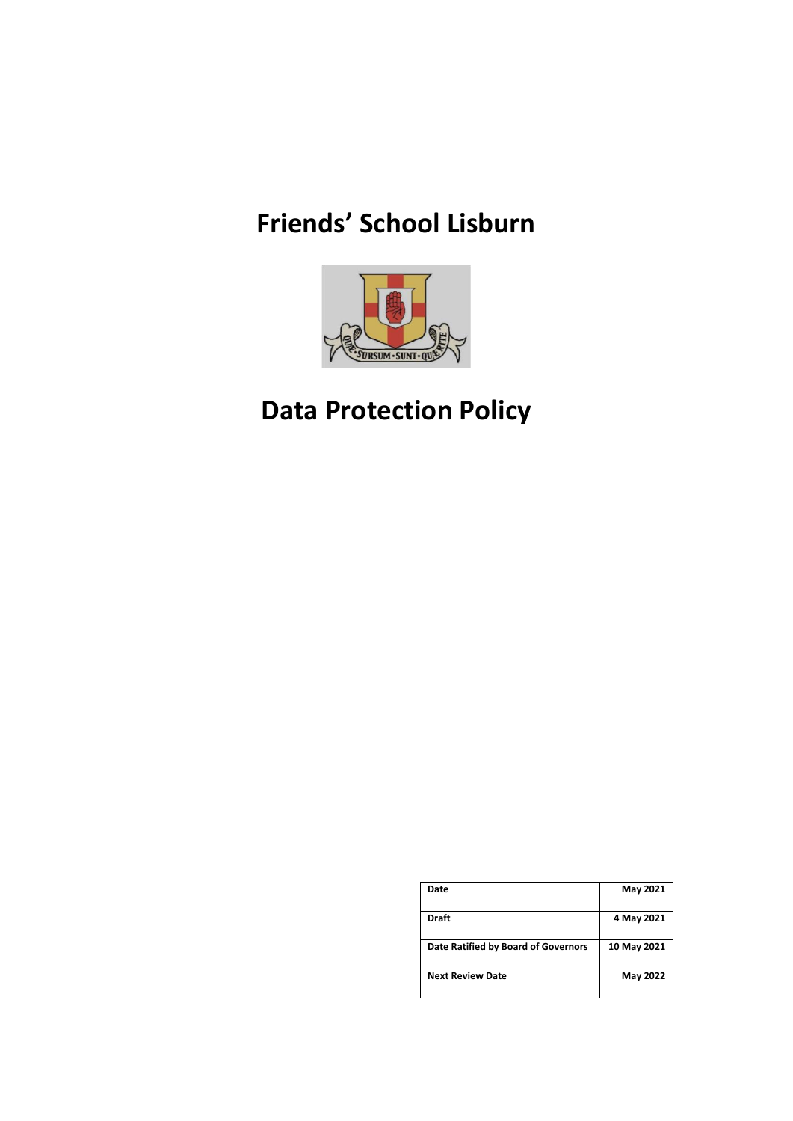# **Friends' School Lisburn**



# **Data Protection Policy**

| Date                                | May 2021    |
|-------------------------------------|-------------|
| <b>Draft</b>                        | 4 May 2021  |
| Date Ratified by Board of Governors | 10 May 2021 |
| <b>Next Review Date</b>             | May 2022    |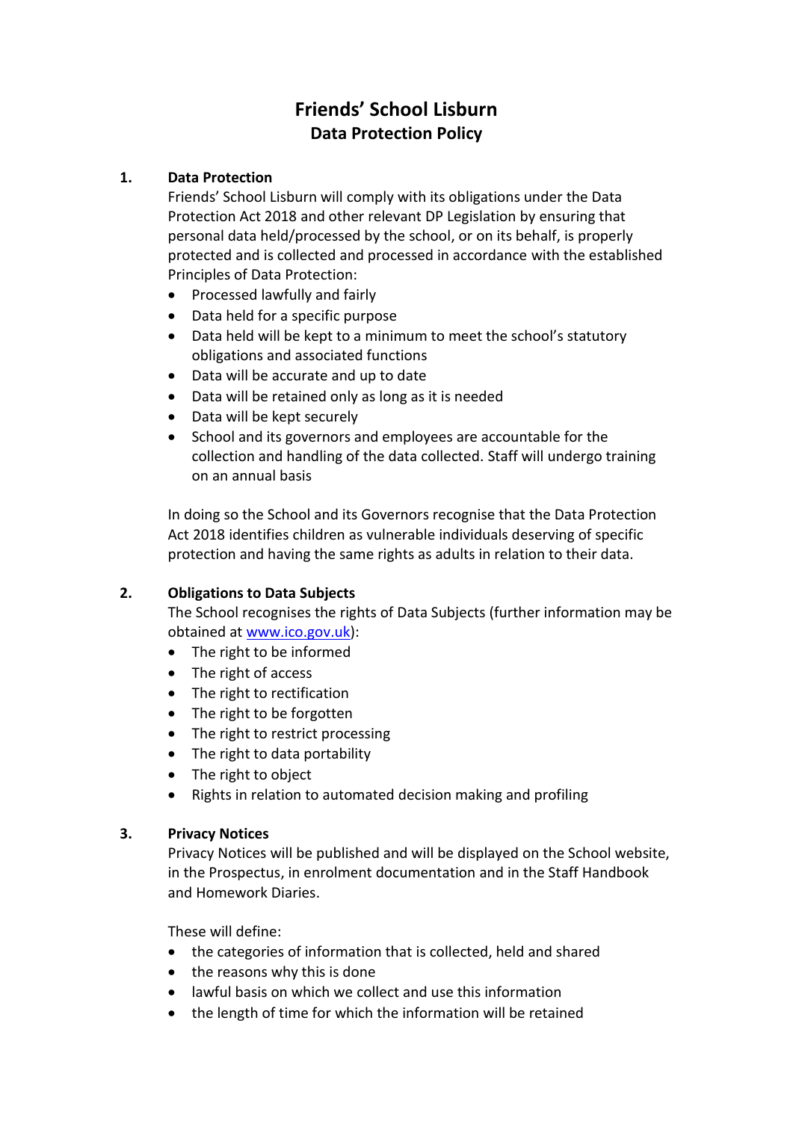# **Friends' School Lisburn Data Protection Policy**

# **1. Data Protection**

Friends' School Lisburn will comply with its obligations under the Data Protection Act 2018 and other relevant DP Legislation by ensuring that personal data held/processed by the school, or on its behalf, is properly protected and is collected and processed in accordance with the established Principles of Data Protection:

- Processed lawfully and fairly
- Data held for a specific purpose
- Data held will be kept to a minimum to meet the school's statutory obligations and associated functions
- Data will be accurate and up to date
- Data will be retained only as long as it is needed
- Data will be kept securely
- School and its governors and employees are accountable for the collection and handling of the data collected. Staff will undergo training on an annual basis

In doing so the School and its Governors recognise that the Data Protection Act 2018 identifies children as vulnerable individuals deserving of specific protection and having the same rights as adults in relation to their data.

# **2. Obligations to Data Subjects**

The School recognises the rights of Data Subjects (further information may be obtained at [www.ico.gov.uk\)](http://www.ico.gov.uk/):

- The right to be informed
- The right of access
- The right to rectification
- The right to be forgotten
- The right to restrict processing
- The right to data portability
- The right to object
- Rights in relation to automated decision making and profiling

# **3. Privacy Notices**

Privacy Notices will be published and will be displayed on the School website, in the Prospectus, in enrolment documentation and in the Staff Handbook and Homework Diaries.

These will define:

- the categories of information that is collected, held and shared
- the reasons why this is done
- lawful basis on which we collect and use this information
- the length of time for which the information will be retained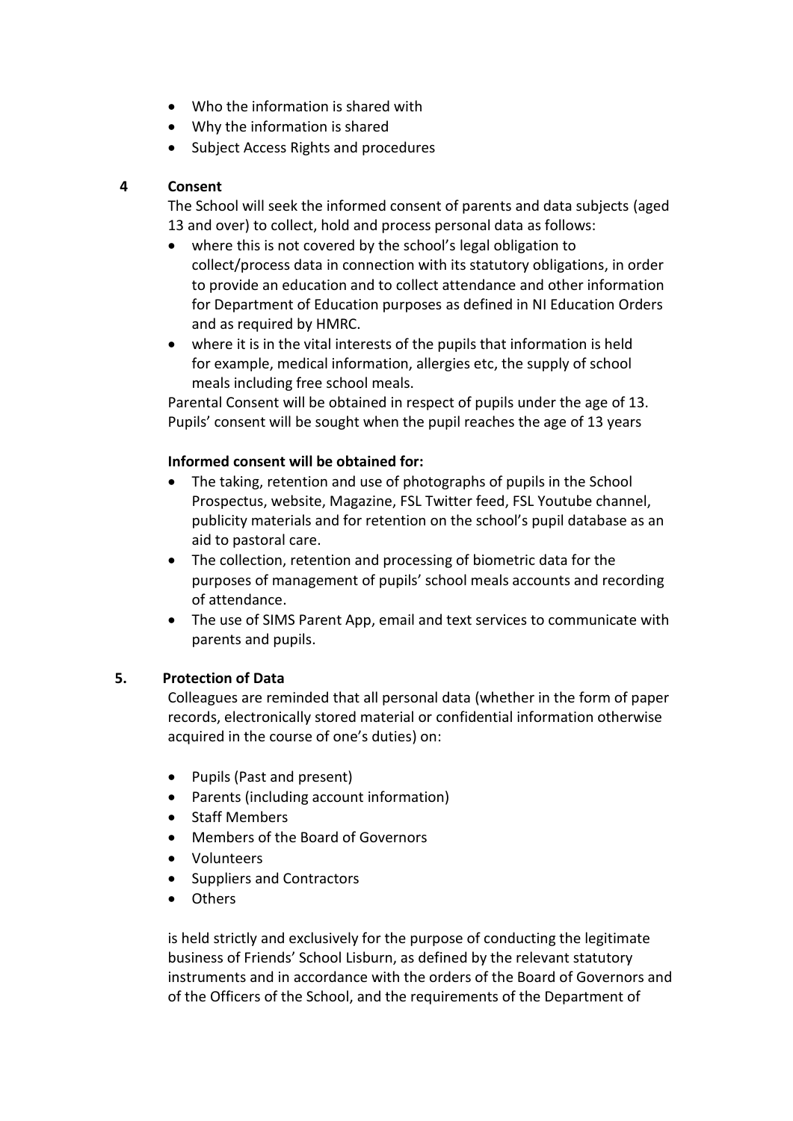- Who the information is shared with
- Why the information is shared
- Subject Access Rights and procedures

# **4 Consent**

The School will seek the informed consent of parents and data subjects (aged 13 and over) to collect, hold and process personal data as follows:

- where this is not covered by the school's legal obligation to collect/process data in connection with its statutory obligations, in order to provide an education and to collect attendance and other information for Department of Education purposes as defined in NI Education Orders and as required by HMRC.
- where it is in the vital interests of the pupils that information is held for example, medical information, allergies etc, the supply of school meals including free school meals.

Parental Consent will be obtained in respect of pupils under the age of 13. Pupils' consent will be sought when the pupil reaches the age of 13 years

#### **Informed consent will be obtained for:**

- The taking, retention and use of photographs of pupils in the School Prospectus, website, Magazine, FSL Twitter feed, FSL Youtube channel, publicity materials and for retention on the school's pupil database as an aid to pastoral care.
- The collection, retention and processing of biometric data for the purposes of management of pupils' school meals accounts and recording of attendance.
- The use of SIMS Parent App, email and text services to communicate with parents and pupils.

# **5. Protection of Data**

Colleagues are reminded that all personal data (whether in the form of paper records, electronically stored material or confidential information otherwise acquired in the course of one's duties) on:

- Pupils (Past and present)
- Parents (including account information)
- Staff Members
- Members of the Board of Governors
- Volunteers
- Suppliers and Contractors
- Others

is held strictly and exclusively for the purpose of conducting the legitimate business of Friends' School Lisburn, as defined by the relevant statutory instruments and in accordance with the orders of the Board of Governors and of the Officers of the School, and the requirements of the Department of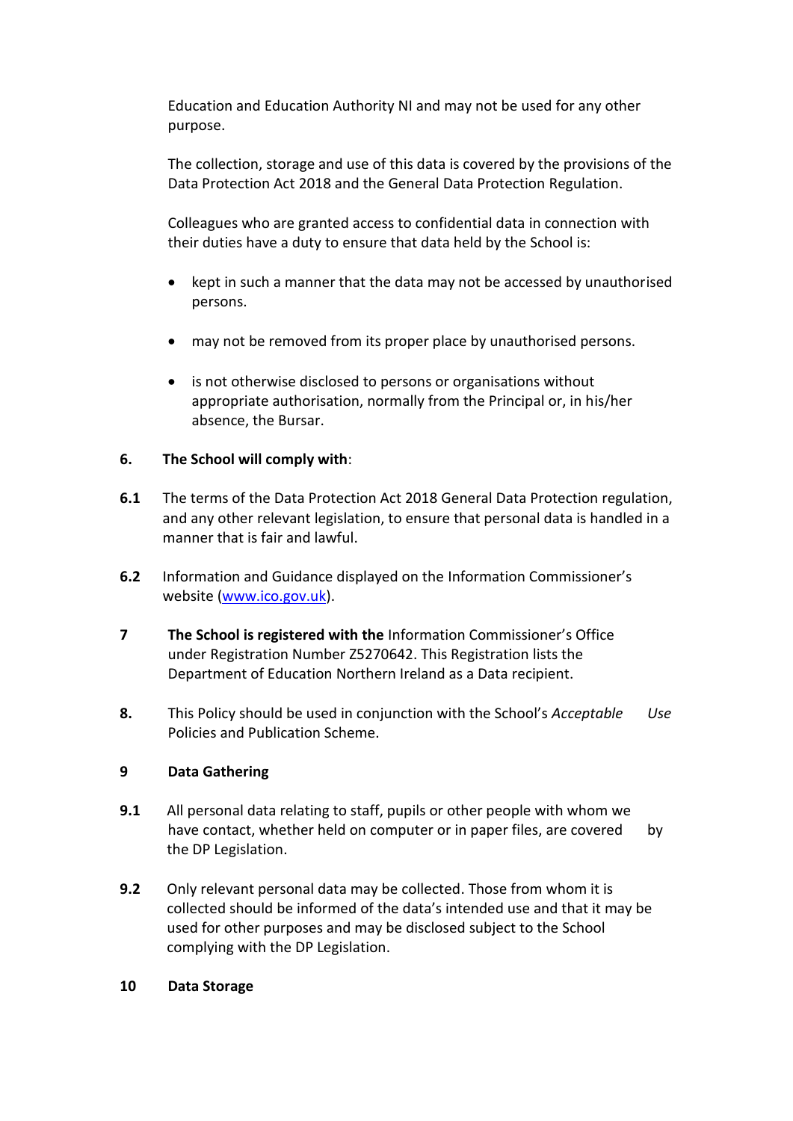Education and Education Authority NI and may not be used for any other purpose.

The collection, storage and use of this data is covered by the provisions of the Data Protection Act 2018 and the General Data Protection Regulation.

Colleagues who are granted access to confidential data in connection with their duties have a duty to ensure that data held by the School is:

- kept in such a manner that the data may not be accessed by unauthorised persons.
- may not be removed from its proper place by unauthorised persons.
- is not otherwise disclosed to persons or organisations without appropriate authorisation, normally from the Principal or, in his/her absence, the Bursar.

# **6. The School will comply with**:

- **6.1** The terms of the Data Protection Act 2018 General Data Protection regulation, and any other relevant legislation, to ensure that personal data is handled in a manner that is fair and lawful.
- **6.2** Information and Guidance displayed on the Information Commissioner's website [\(www.ico.gov.uk\)](http://www.ico.gov.uk/).
- **7 The School is registered with the** Information Commissioner's Office under Registration Number Z5270642. This Registration lists the Department of Education Northern Ireland as a Data recipient.
- **8.** This Policy should be used in conjunction with the School's *Acceptable Use* Policies and Publication Scheme.

#### **9 Data Gathering**

- **9.1** All personal data relating to staff, pupils or other people with whom we have contact, whether held on computer or in paper files, are covered by the DP Legislation.
- **9.2** Only relevant personal data may be collected. Those from whom it is collected should be informed of the data's intended use and that it may be used for other purposes and may be disclosed subject to the School complying with the DP Legislation.

#### **10 Data Storage**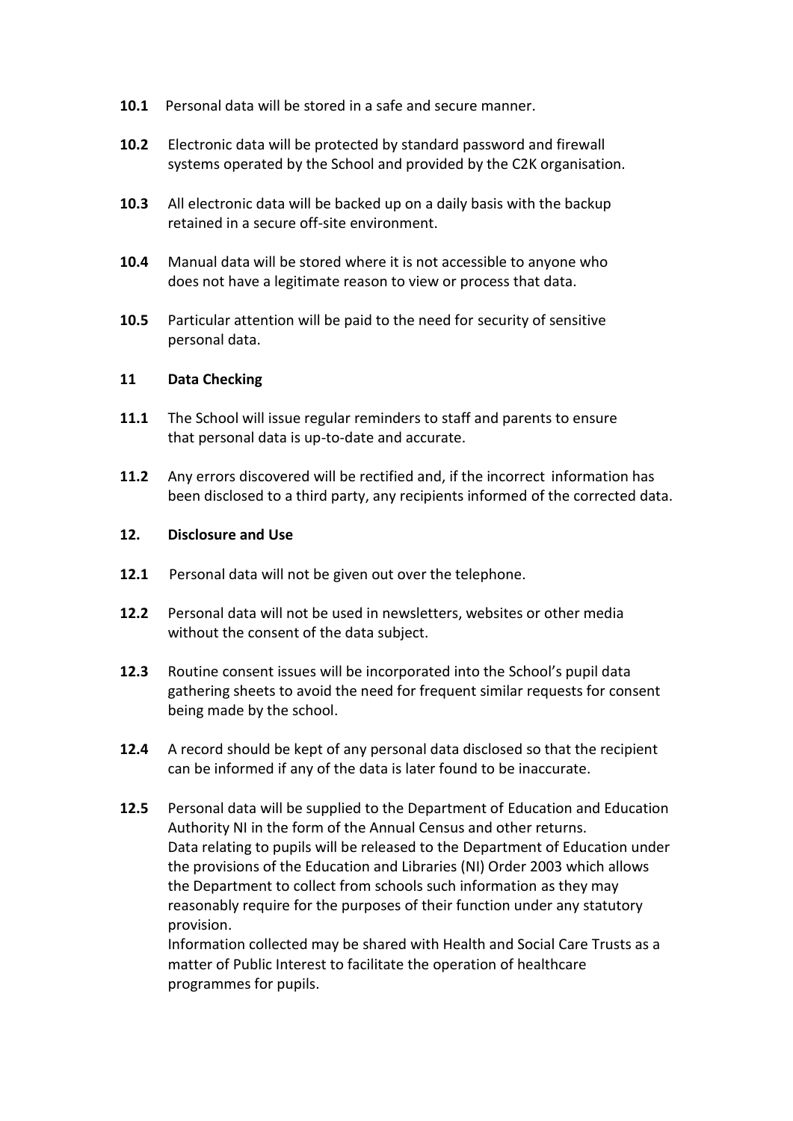- **10.1** Personal data will be stored in a safe and secure manner.
- **10.2** Electronic data will be protected by standard password and firewall systems operated by the School and provided by the C2K organisation.
- **10.3** All electronic data will be backed up on a daily basis with the backup retained in a secure off-site environment.
- **10.4** Manual data will be stored where it is not accessible to anyone who does not have a legitimate reason to view or process that data.
- **10.5** Particular attention will be paid to the need for security of sensitive personal data.

#### **11 Data Checking**

- **11.1** The School will issue regular reminders to staff and parents to ensure that personal data is up-to-date and accurate.
- **11.2** Any errors discovered will be rectified and, if the incorrect information has been disclosed to a third party, any recipients informed of the corrected data.

#### **12. Disclosure and Use**

- **12.1** Personal data will not be given out over the telephone.
- **12.2** Personal data will not be used in newsletters, websites or other media without the consent of the data subject.
- **12.3** Routine consent issues will be incorporated into the School's pupil data gathering sheets to avoid the need for frequent similar requests for consent being made by the school.
- **12.4** A record should be kept of any personal data disclosed so that the recipient can be informed if any of the data is later found to be inaccurate.
- **12.5** Personal data will be supplied to the Department of Education and Education Authority NI in the form of the Annual Census and other returns. Data relating to pupils will be released to the Department of Education under the provisions of the Education and Libraries (NI) Order 2003 which allows the Department to collect from schools such information as they may reasonably require for the purposes of their function under any statutory provision.

Information collected may be shared with Health and Social Care Trusts as a matter of Public Interest to facilitate the operation of healthcare programmes for pupils.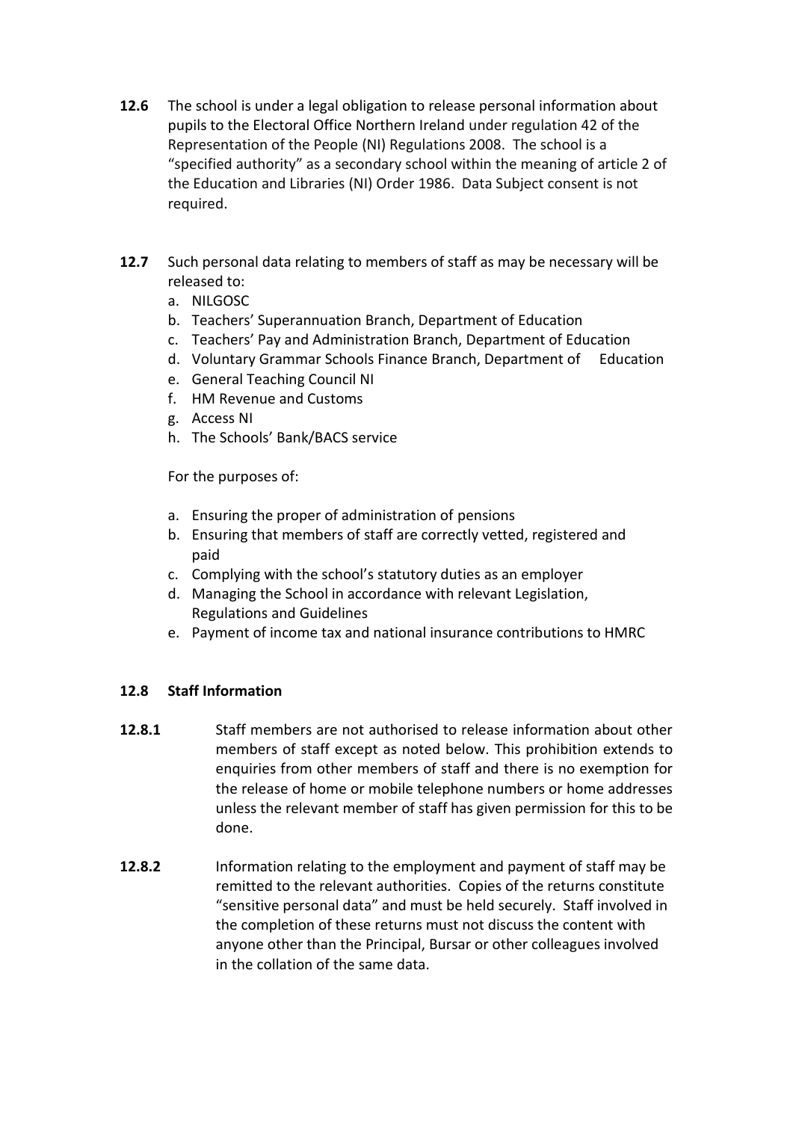- **12.6** The school is under a legal obligation to release personal information about pupils to the Electoral Office Northern Ireland under regulation 42 of the Representation of the People (NI) Regulations 2008. The school is a "specified authority" as a secondary school within the meaning of article 2 of the Education and Libraries (NI) Order 1986. Data Subject consent is not required.
- **12.7** Such personal data relating to members of staff as may be necessary will be released to:
	- a. NILGOSC
	- b. Teachers' Superannuation Branch, Department of Education
	- c. Teachers' Pay and Administration Branch, Department of Education
	- d. Voluntary Grammar Schools Finance Branch, Department of Education
	- e. General Teaching Council NI
	- f. HM Revenue and Customs
	- g. Access NI
	- h. The Schools' Bank/BACS service

For the purposes of:

- a. Ensuring the proper of administration of pensions
- b. Ensuring that members of staff are correctly vetted, registered and paid
- c. Complying with the school's statutory duties as an employer
- d. Managing the School in accordance with relevant Legislation, Regulations and Guidelines
- e. Payment of income tax and national insurance contributions to HMRC

# **12.8 Staff Information**

- **12.8.1** Staff members are not authorised to release information about other members of staff except as noted below. This prohibition extends to enquiries from other members of staff and there is no exemption for the release of home or mobile telephone numbers or home addresses unless the relevant member of staff has given permission for this to be done.
- **12.8.2** Information relating to the employment and payment of staff may be remitted to the relevant authorities. Copies of the returns constitute "sensitive personal data" and must be held securely. Staff involved in the completion of these returns must not discuss the content with anyone other than the Principal, Bursar or other colleagues involved in the collation of the same data.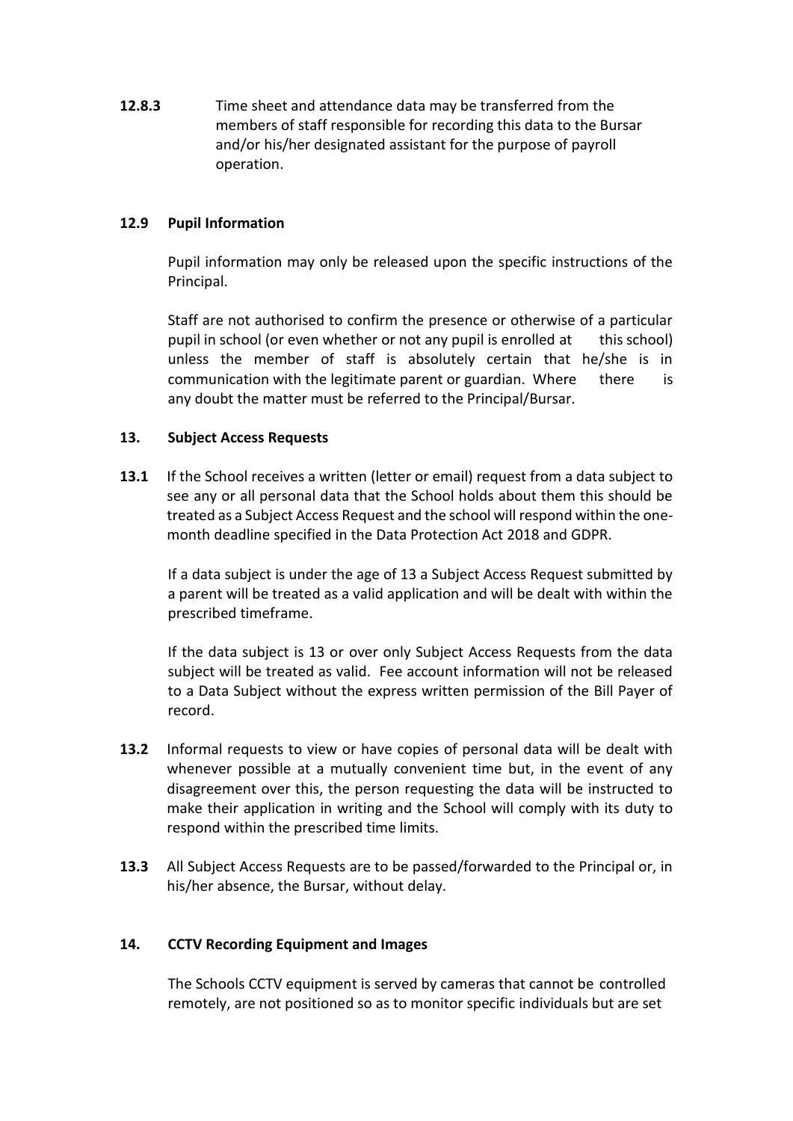**12.8.3** Time sheet and attendance data may be transferred from the members of staff responsible for recording this data to the Bursar and/or his/her designated assistant for the purpose of payroll operation.

### **12.9 Pupil Information**

Pupil information may only be released upon the specific instructions of the Principal.

Staff are not authorised to confirm the presence or otherwise of a particular pupil in school (or even whether or not any pupil is enrolled at this school) unless the member of staff is absolutely certain that he/she is in communication with the legitimate parent or guardian. Where there is any doubt the matter must be referred to the Principal/Bursar.

#### **13. Subject Access Requests**

**13.1** If the School receives a written (letter or email) request from a data subject to see any or all personal data that the School holds about them this should be treated as a Subject Access Request and the school will respond within the onemonth deadline specified in the Data Protection Act 2018 and GDPR.

If a data subject is under the age of 13 a Subject Access Request submitted by a parent will be treated as a valid application and will be dealt with within the prescribed timeframe.

If the data subject is 13 or over only Subject Access Requests from the data subject will be treated as valid. Fee account information will not be released to a Data Subject without the express written permission of the Bill Payer of record.

- **13.2** Informal requests to view or have copies of personal data will be dealt with whenever possible at a mutually convenient time but, in the event of any disagreement over this, the person requesting the data will be instructed to make their application in writing and the School will comply with its duty to respond within the prescribed time limits.
- **13.3** All Subject Access Requests are to be passed/forwarded to the Principal or, in his/her absence, the Bursar, without delay.

#### **14. CCTV Recording Equipment and Images**

The Schools CCTV equipment is served by cameras that cannot be controlled remotely, are not positioned so as to monitor specific individuals but are set